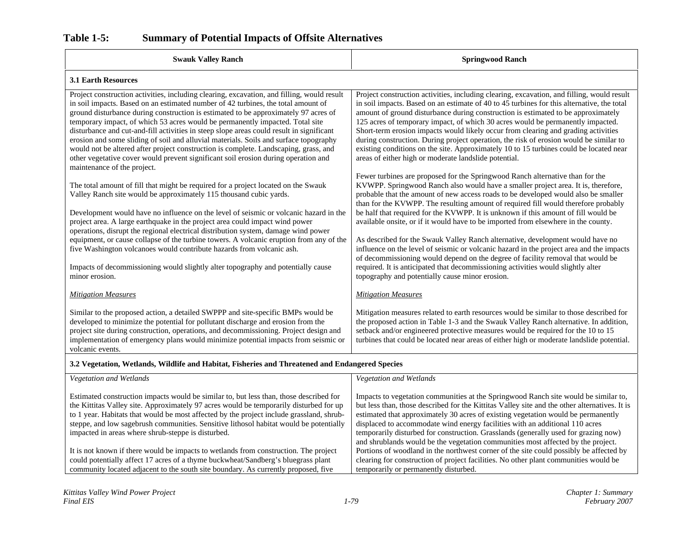#### **Swauk Valley Ranch Springwood Ranch Springwood Ranch Springwood Ranch Springwood Ranch Springwood Ranch Springwood Ranch Springwood Ranch Springwood Ranch Springwood Ranch Springwood Ranch Springwood Ranch Springwood Ranc 3.1 Earth Resources**  Project construction activities, including clearing, excavation, and filling, would result in soil impacts. Based on an estimated number of 42 turbines, the total amount of ground disturbance during construction is estimated to be approximately 97 acres of temporary impact, of which 53 acres would be permanently impacted. Total site disturbance and cut-and-fill activities in steep slope areas could result in significant erosion and some sliding of soil and alluvial materials. Soils and surface topography would not be altered after project construction is complete. Landscaping, grass, and other vegetative cover would prevent significant soil erosion during operation and maintenance of the project. The total amount of fill that might be required for a project located on the Swauk Valley Ranch site would be approximately 115 thousand cubic yards. Development would have no influence on the level of seismic or volcanic hazard in the project area. A large earthquake in the project area could impact wind power operations, disrupt the regional electrical distribution system, damage wind power equipment, or cause collapse of the turbine towers. A volcanic eruption from any of the five Washington volcanoes would contribute hazards from volcanic ash. Impacts of decommissioning would slightly alter topography and potentially cause minor erosion. *Mitigation Measures* Similar to the proposed action, a detailed SWPPP and site-specific BMPs would be developed to minimize the potential for pollutant discharge and erosion from the project site during construction, operations, and decommissioning. Project design and implementation of emergency plans would minimize potential impacts from seismic or volcanic events. Project construction activities, including clearing, excavation, and filling, would result in soil impacts. Based on an estimate of 40 to 45 turbines for this alternative, the total amount of ground disturbance during construction is estimated to be approximately 125 acres of temporary impact, of which 30 acres would be permanently impacted. Short-term erosion impacts would likely occur from clearing and grading activities during construction. During project operation, the risk of erosion would be similar to existing conditions on the site. Approximately 10 to 15 turbines could be located near areas of either high or moderate landslide potential. Fewer turbines are proposed for the Springwood Ranch alternative than for the KVWPP. Springwood Ranch also would have a smaller project area. It is, therefore, probable that the amount of new access roads to be developed would also be smaller than for the KVWPP. The resulting amount of required fill would therefore probably be half that required for the KVWPP. It is unknown if this amount of fill would be available onsite, or if it would have to be imported from elsewhere in the county. As described for the Swauk Valley Ranch alternative, development would have no influence on the level of seismic or volcanic hazard in the project area and the impacts of decommissioning would depend on the degree of facility removal that would be required. It is anticipated that decommissioning activities would slightly alter topography and potentially cause minor erosion. *Mitigation Measures* Mitigation measures related to earth resources would be similar to those described for the proposed action in Table 1-3 and the Swauk Valley Ranch alternative. In addition, setback and/or engineered protective measures would be required for the 10 to 15 turbines that could be located near areas of either high or moderate landslide potential.

# **Table 1-5: Summary of Potential Impacts of Offsite Alternatives**

**3.2 Vegetation, Wetlands, Wildlife and Habitat, Fisheries and Threatened and Endangered Species** 

| Vegetation and Wetlands                                                                  | Vegetation and Wetlands                                                                                                                                                 |
|------------------------------------------------------------------------------------------|-------------------------------------------------------------------------------------------------------------------------------------------------------------------------|
| Estimated construction impacts would be similar to, but less than, those described for   | Impacts to vegetation communities at the Springwood Ranch site would be similar to,                                                                                     |
| the Kittitas Valley site. Approximately 97 acres would be temporarily disturbed for up   | but less than, those described for the Kittitas Valley site and the other alternatives. It is                                                                           |
| to 1 year. Habitats that would be most affected by the project include grassland, shrub- | estimated that approximately 30 acres of existing vegetation would be permanently                                                                                       |
| steppe, and low sagebrush communities. Sensitive lithosol habitat would be potentially   | displaced to accommodate wind energy facilities with an additional 110 acres                                                                                            |
| impacted in areas where shrub-steppe is disturbed.                                       | temporarily disturbed for construction. Grasslands (generally used for grazing now)<br>and shrublands would be the vegetation communities most affected by the project. |
| It is not known if there would be impacts to wetlands from construction. The project     | Portions of woodland in the northwest corner of the site could possibly be affected by                                                                                  |
| could potentially affect 17 acres of a thyme buckwheat/Sandberg's bluegrass plant        | clearing for construction of project facilities. No other plant communities would be                                                                                    |
| community located adjacent to the south site boundary. As currently proposed, five       | temporarily or permanently disturbed.                                                                                                                                   |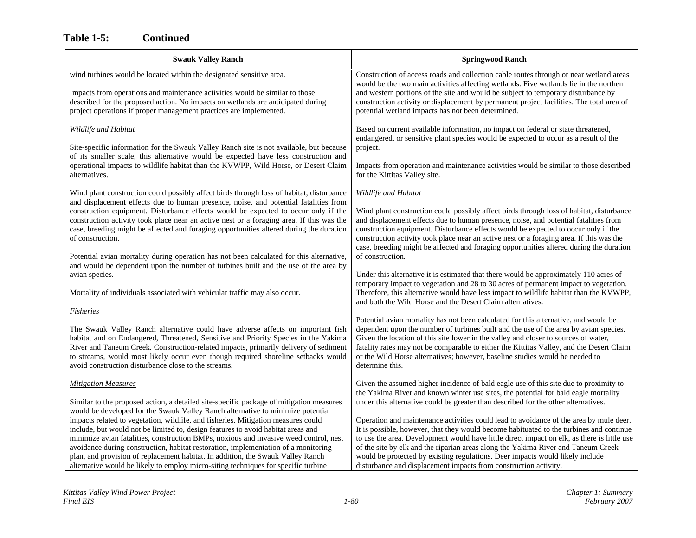$\blacksquare$ 

| <b>Swauk Valley Ranch</b>                                                                                                                                                                                                                                                                                                                                                                                   | <b>Springwood Ranch</b>                                                                                                                                                                                                                                                                                                                                                                                                                                             |
|-------------------------------------------------------------------------------------------------------------------------------------------------------------------------------------------------------------------------------------------------------------------------------------------------------------------------------------------------------------------------------------------------------------|---------------------------------------------------------------------------------------------------------------------------------------------------------------------------------------------------------------------------------------------------------------------------------------------------------------------------------------------------------------------------------------------------------------------------------------------------------------------|
| wind turbines would be located within the designated sensitive area.<br>Impacts from operations and maintenance activities would be similar to those<br>described for the proposed action. No impacts on wetlands are anticipated during<br>project operations if proper management practices are implemented.                                                                                              | Construction of access roads and collection cable routes through or near wetland areas<br>would be the two main activities affecting wetlands. Five wetlands lie in the northern<br>and western portions of the site and would be subject to temporary disturbance by<br>construction activity or displacement by permanent project facilities. The total area of<br>potential wetland impacts has not been determined.                                             |
| Wildlife and Habitat                                                                                                                                                                                                                                                                                                                                                                                        | Based on current available information, no impact on federal or state threatened,                                                                                                                                                                                                                                                                                                                                                                                   |
| Site-specific information for the Swauk Valley Ranch site is not available, but because                                                                                                                                                                                                                                                                                                                     | endangered, or sensitive plant species would be expected to occur as a result of the                                                                                                                                                                                                                                                                                                                                                                                |
| of its smaller scale, this alternative would be expected have less construction and                                                                                                                                                                                                                                                                                                                         | project.                                                                                                                                                                                                                                                                                                                                                                                                                                                            |
| operational impacts to wildlife habitat than the KVWPP, Wild Horse, or Desert Claim                                                                                                                                                                                                                                                                                                                         | Impacts from operation and maintenance activities would be similar to those described                                                                                                                                                                                                                                                                                                                                                                               |
| alternatives.                                                                                                                                                                                                                                                                                                                                                                                               | for the Kittitas Valley site.                                                                                                                                                                                                                                                                                                                                                                                                                                       |
| Wind plant construction could possibly affect birds through loss of habitat, disturbance                                                                                                                                                                                                                                                                                                                    | Wildlife and Habitat                                                                                                                                                                                                                                                                                                                                                                                                                                                |
| and displacement effects due to human presence, noise, and potential fatalities from                                                                                                                                                                                                                                                                                                                        | Wind plant construction could possibly affect birds through loss of habitat, disturbance                                                                                                                                                                                                                                                                                                                                                                            |
| construction equipment. Disturbance effects would be expected to occur only if the                                                                                                                                                                                                                                                                                                                          | and displacement effects due to human presence, noise, and potential fatalities from                                                                                                                                                                                                                                                                                                                                                                                |
| construction activity took place near an active nest or a foraging area. If this was the                                                                                                                                                                                                                                                                                                                    | construction equipment. Disturbance effects would be expected to occur only if the                                                                                                                                                                                                                                                                                                                                                                                  |
| case, breeding might be affected and foraging opportunities altered during the duration                                                                                                                                                                                                                                                                                                                     | construction activity took place near an active nest or a foraging area. If this was the                                                                                                                                                                                                                                                                                                                                                                            |
| of construction.                                                                                                                                                                                                                                                                                                                                                                                            | case, breeding might be affected and foraging opportunities altered during the duration                                                                                                                                                                                                                                                                                                                                                                             |
| Potential avian mortality during operation has not been calculated for this alternative,                                                                                                                                                                                                                                                                                                                    | of construction.                                                                                                                                                                                                                                                                                                                                                                                                                                                    |
| and would be dependent upon the number of turbines built and the use of the area by                                                                                                                                                                                                                                                                                                                         | Under this alternative it is estimated that there would be approximately 110 acres of                                                                                                                                                                                                                                                                                                                                                                               |
| avian species.                                                                                                                                                                                                                                                                                                                                                                                              | temporary impact to vegetation and 28 to 30 acres of permanent impact to vegetation.                                                                                                                                                                                                                                                                                                                                                                                |
| Mortality of individuals associated with vehicular traffic may also occur.                                                                                                                                                                                                                                                                                                                                  | Therefore, this alternative would have less impact to wildlife habitat than the KVWPP,                                                                                                                                                                                                                                                                                                                                                                              |
| <b>Fisheries</b>                                                                                                                                                                                                                                                                                                                                                                                            | and both the Wild Horse and the Desert Claim alternatives.                                                                                                                                                                                                                                                                                                                                                                                                          |
| The Swauk Valley Ranch alternative could have adverse affects on important fish<br>habitat and on Endangered, Threatened, Sensitive and Priority Species in the Yakima<br>River and Taneum Creek. Construction-related impacts, primarily delivery of sediment<br>to streams, would most likely occur even though required shoreline setbacks would<br>avoid construction disturbance close to the streams. | Potential avian mortality has not been calculated for this alternative, and would be<br>dependent upon the number of turbines built and the use of the area by avian species.<br>Given the location of this site lower in the valley and closer to sources of water,<br>fatality rates may not be comparable to either the Kittitas Valley, and the Desert Claim<br>or the Wild Horse alternatives; however, baseline studies would be needed to<br>determine this. |
| <b>Mitigation Measures</b>                                                                                                                                                                                                                                                                                                                                                                                  | Given the assumed higher incidence of bald eagle use of this site due to proximity to                                                                                                                                                                                                                                                                                                                                                                               |
| Similar to the proposed action, a detailed site-specific package of mitigation measures                                                                                                                                                                                                                                                                                                                     | the Yakima River and known winter use sites, the potential for bald eagle mortality                                                                                                                                                                                                                                                                                                                                                                                 |
| would be developed for the Swauk Valley Ranch alternative to minimize potential                                                                                                                                                                                                                                                                                                                             | under this alternative could be greater than described for the other alternatives.                                                                                                                                                                                                                                                                                                                                                                                  |
| impacts related to vegetation, wildlife, and fisheries. Mitigation measures could                                                                                                                                                                                                                                                                                                                           | Operation and maintenance activities could lead to avoidance of the area by mule deer.                                                                                                                                                                                                                                                                                                                                                                              |
| include, but would not be limited to, design features to avoid habitat areas and                                                                                                                                                                                                                                                                                                                            | It is possible, however, that they would become habituated to the turbines and continue                                                                                                                                                                                                                                                                                                                                                                             |
| minimize avian fatalities, construction BMPs, noxious and invasive weed control, nest                                                                                                                                                                                                                                                                                                                       | to use the area. Development would have little direct impact on elk, as there is little use                                                                                                                                                                                                                                                                                                                                                                         |
| avoidance during construction, habitat restoration, implementation of a monitoring                                                                                                                                                                                                                                                                                                                          | of the site by elk and the riparian areas along the Yakima River and Taneum Creek                                                                                                                                                                                                                                                                                                                                                                                   |
| plan, and provision of replacement habitat. In addition, the Swauk Valley Ranch                                                                                                                                                                                                                                                                                                                             | would be protected by existing regulations. Deer impacts would likely include                                                                                                                                                                                                                                                                                                                                                                                       |
| alternative would be likely to employ micro-siting techniques for specific turbine                                                                                                                                                                                                                                                                                                                          | disturbance and displacement impacts from construction activity.                                                                                                                                                                                                                                                                                                                                                                                                    |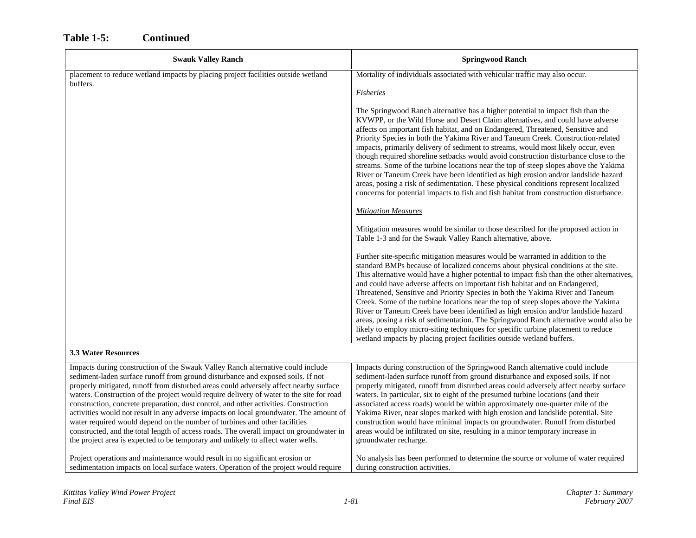| <b>Swauk Valley Ranch</b>                                                                     | <b>Springwood Ranch</b>                                                                                                                                                                                                                                                                                                                                                                                                                                                                                                                                                                                                                                                                                                                                                                                                                                                                                                                                                                                                                                                                                                                                                                                                                                                                                                                                                                                                                                                                                                                                                                                                                                                                                                                                                                                                                                                                                                                                                       |
|-----------------------------------------------------------------------------------------------|-------------------------------------------------------------------------------------------------------------------------------------------------------------------------------------------------------------------------------------------------------------------------------------------------------------------------------------------------------------------------------------------------------------------------------------------------------------------------------------------------------------------------------------------------------------------------------------------------------------------------------------------------------------------------------------------------------------------------------------------------------------------------------------------------------------------------------------------------------------------------------------------------------------------------------------------------------------------------------------------------------------------------------------------------------------------------------------------------------------------------------------------------------------------------------------------------------------------------------------------------------------------------------------------------------------------------------------------------------------------------------------------------------------------------------------------------------------------------------------------------------------------------------------------------------------------------------------------------------------------------------------------------------------------------------------------------------------------------------------------------------------------------------------------------------------------------------------------------------------------------------------------------------------------------------------------------------------------------------|
| placement to reduce wetland impacts by placing project facilities outside wetland<br>buffers. | Mortality of individuals associated with vehicular traffic may also occur.<br><b>Fisheries</b><br>The Springwood Ranch alternative has a higher potential to impact fish than the<br>KVWPP, or the Wild Horse and Desert Claim alternatives, and could have adverse<br>affects on important fish habitat, and on Endangered, Threatened, Sensitive and<br>Priority Species in both the Yakima River and Taneum Creek. Construction-related<br>impacts, primarily delivery of sediment to streams, would most likely occur, even<br>though required shoreline setbacks would avoid construction disturbance close to the<br>streams. Some of the turbine locations near the top of steep slopes above the Yakima<br>River or Taneum Creek have been identified as high erosion and/or landslide hazard<br>areas, posing a risk of sedimentation. These physical conditions represent localized<br>concerns for potential impacts to fish and fish habitat from construction disturbance.<br><b>Mitigation Measures</b><br>Mitigation measures would be similar to those described for the proposed action in<br>Table 1-3 and for the Swauk Valley Ranch alternative, above.<br>Further site-specific mitigation measures would be warranted in addition to the<br>standard BMPs because of localized concerns about physical conditions at the site.<br>This alternative would have a higher potential to impact fish than the other alternatives,<br>and could have adverse affects on important fish habitat and on Endangered,<br>Threatened, Sensitive and Priority Species in both the Yakima River and Taneum<br>Creek. Some of the turbine locations near the top of steep slopes above the Yakima<br>River or Taneum Creek have been identified as high erosion and/or landslide hazard<br>areas, posing a risk of sedimentation. The Springwood Ranch alternative would also be<br>likely to employ micro-siting techniques for specific turbine placement to reduce |
| <b>3.3 Water Resources</b>                                                                    | wetland impacts by placing project facilities outside wetland buffers.                                                                                                                                                                                                                                                                                                                                                                                                                                                                                                                                                                                                                                                                                                                                                                                                                                                                                                                                                                                                                                                                                                                                                                                                                                                                                                                                                                                                                                                                                                                                                                                                                                                                                                                                                                                                                                                                                                        |

| Impacts during construction of the Swauk Valley Ranch alternative could include          | Impacts during construction of the Springwood Ranch alternative could include         |
|------------------------------------------------------------------------------------------|---------------------------------------------------------------------------------------|
| sediment-laden surface runoff from ground disturbance and exposed soils. If not          | sediment-laden surface runoff from ground disturbance and exposed soils. If not       |
| properly mitigated, runoff from disturbed areas could adversely affect nearby surface    | properly mitigated, runoff from disturbed areas could adversely affect nearby surface |
| waters. Construction of the project would require delivery of water to the site for road | waters. In particular, six to eight of the presumed turbine locations (and their      |
| construction, concrete preparation, dust control, and other activities. Construction     | associated access roads) would be within approximately one-quarter mile of the        |
| activities would not result in any adverse impacts on local groundwater. The amount of   | Yakima River, near slopes marked with high erosion and landslide potential. Site      |
| water required would depend on the number of turbines and other facilities               | construction would have minimal impacts on groundwater. Runoff from disturbed         |
| constructed, and the total length of access roads. The overall impact on groundwater in  | areas would be infiltrated on site, resulting in a minor temporary increase in        |
| the project area is expected to be temporary and unlikely to affect water wells.         | groundwater recharge.                                                                 |
|                                                                                          |                                                                                       |
| Project operations and maintenance would result in no significant erosion or             | No analysis has been performed to determine the source or volume of water required    |
| sedimentation impacts on local surface waters. Operation of the project would require    | during construction activities.                                                       |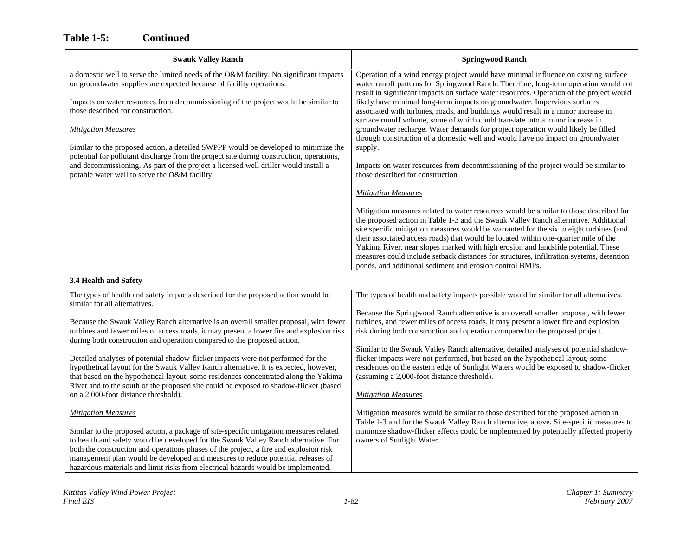| <b>Swauk Valley Ranch</b>                                                                                                                                                                                                                                                                                                                                                                                                                                                                                                                                                                                                                   | <b>Springwood Ranch</b>                                                                                                                                                                                                                                                                                                                                                                                                                                                                                                                                                                                                                                                                                                                                                                                                                                                |
|---------------------------------------------------------------------------------------------------------------------------------------------------------------------------------------------------------------------------------------------------------------------------------------------------------------------------------------------------------------------------------------------------------------------------------------------------------------------------------------------------------------------------------------------------------------------------------------------------------------------------------------------|------------------------------------------------------------------------------------------------------------------------------------------------------------------------------------------------------------------------------------------------------------------------------------------------------------------------------------------------------------------------------------------------------------------------------------------------------------------------------------------------------------------------------------------------------------------------------------------------------------------------------------------------------------------------------------------------------------------------------------------------------------------------------------------------------------------------------------------------------------------------|
| a domestic well to serve the limited needs of the O&M facility. No significant impacts<br>on groundwater supplies are expected because of facility operations.<br>Impacts on water resources from decommissioning of the project would be similar to<br>those described for construction.<br>Mitigation Measures<br>Similar to the proposed action, a detailed SWPPP would be developed to minimize the<br>potential for pollutant discharge from the project site during construction, operations,<br>and decommissioning. As part of the project a licensed well driller would install a<br>potable water well to serve the O&M facility. | Operation of a wind energy project would have minimal influence on existing surface<br>water runoff patterns for Springwood Ranch. Therefore, long-term operation would not<br>result in significant impacts on surface water resources. Operation of the project would<br>likely have minimal long-term impacts on groundwater. Impervious surfaces<br>associated with turbines, roads, and buildings would result in a minor increase in<br>surface runoff volume, some of which could translate into a minor increase in<br>groundwater recharge. Water demands for project operation would likely be filled<br>through construction of a domestic well and would have no impact on groundwater<br>supply.<br>Impacts on water resources from decommissioning of the project would be similar to<br>those described for construction.<br><b>Mitigation Measures</b> |
|                                                                                                                                                                                                                                                                                                                                                                                                                                                                                                                                                                                                                                             | Mitigation measures related to water resources would be similar to those described for<br>the proposed action in Table 1-3 and the Swauk Valley Ranch alternative. Additional<br>site specific mitigation measures would be warranted for the six to eight turbines (and<br>their associated access roads) that would be located within one-quarter mile of the<br>Yakima River, near slopes marked with high erosion and landslide potential. These<br>measures could include setback distances for structures, infiltration systems, detention<br>ponds, and additional sediment and erosion control BMPs.                                                                                                                                                                                                                                                           |
| 3.4 Health and Safety                                                                                                                                                                                                                                                                                                                                                                                                                                                                                                                                                                                                                       |                                                                                                                                                                                                                                                                                                                                                                                                                                                                                                                                                                                                                                                                                                                                                                                                                                                                        |
| The types of health and safety impacts described for the proposed action would be<br>similar for all alternatives.                                                                                                                                                                                                                                                                                                                                                                                                                                                                                                                          | The types of health and safety impacts possible would be similar for all alternatives.<br>Because the Springwood Ranch alternative is an overall smaller proposal, with fewer                                                                                                                                                                                                                                                                                                                                                                                                                                                                                                                                                                                                                                                                                          |
| Because the Swauk Valley Ranch alternative is an overall smaller proposal, with fewer<br>turbines and fewer miles of access roads, it may present a lower fire and explosion risk<br>during both construction and operation compared to the proposed action.                                                                                                                                                                                                                                                                                                                                                                                | turbines, and fewer miles of access roads, it may present a lower fire and explosion<br>risk during both construction and operation compared to the proposed project.<br>Similar to the Swauk Valley Ranch alternative, detailed analyses of potential shadow-                                                                                                                                                                                                                                                                                                                                                                                                                                                                                                                                                                                                         |
| Detailed analyses of potential shadow-flicker impacts were not performed for the<br>hypothetical layout for the Swauk Valley Ranch alternative. It is expected, however,<br>that based on the hypothetical layout, some residences concentrated along the Yakima<br>River and to the south of the proposed site could be exposed to shadow-flicker (based<br>on a 2,000-foot distance threshold).                                                                                                                                                                                                                                           | flicker impacts were not performed, but based on the hypothetical layout, some<br>residences on the eastern edge of Sunlight Waters would be exposed to shadow-flicker<br>(assuming a 2,000-foot distance threshold).<br><b>Mitigation Measures</b>                                                                                                                                                                                                                                                                                                                                                                                                                                                                                                                                                                                                                    |
| <b>Mitigation Measures</b><br>Similar to the proposed action, a package of site-specific mitigation measures related<br>to health and safety would be developed for the Swauk Valley Ranch alternative. For<br>both the construction and operations phases of the project, a fire and explosion risk<br>management plan would be developed and measures to reduce potential releases of<br>hazardous materials and limit risks from electrical hazards would be implemented.                                                                                                                                                                | Mitigation measures would be similar to those described for the proposed action in<br>Table 1-3 and for the Swauk Valley Ranch alternative, above. Site-specific measures to<br>minimize shadow-flicker effects could be implemented by potentially affected property<br>owners of Sunlight Water.                                                                                                                                                                                                                                                                                                                                                                                                                                                                                                                                                                     |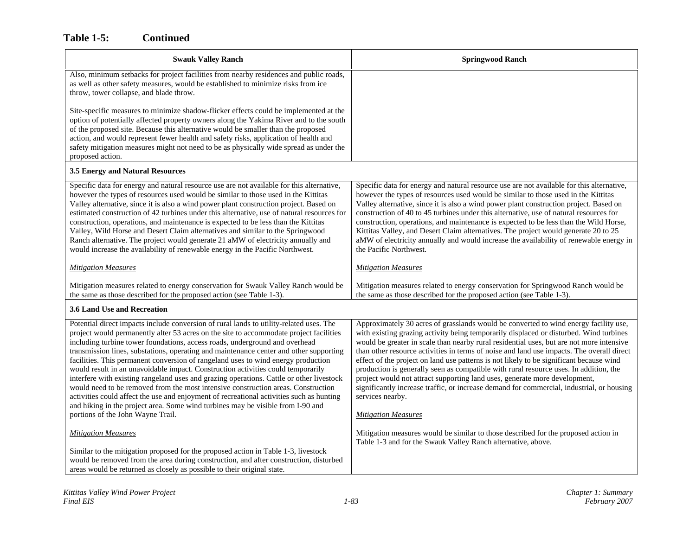| <b>Swauk Valley Ranch</b>                                                                                                                                                                                                                                                                                                                                                                                                                                                                                                                                                                                                                                                                                                                                                                                                                                                                                                                | <b>Springwood Ranch</b>                                                                                                                                                                                                                                                                                                                                                                                                                                                                                                                                                                                                                                                                                                                                                                  |
|------------------------------------------------------------------------------------------------------------------------------------------------------------------------------------------------------------------------------------------------------------------------------------------------------------------------------------------------------------------------------------------------------------------------------------------------------------------------------------------------------------------------------------------------------------------------------------------------------------------------------------------------------------------------------------------------------------------------------------------------------------------------------------------------------------------------------------------------------------------------------------------------------------------------------------------|------------------------------------------------------------------------------------------------------------------------------------------------------------------------------------------------------------------------------------------------------------------------------------------------------------------------------------------------------------------------------------------------------------------------------------------------------------------------------------------------------------------------------------------------------------------------------------------------------------------------------------------------------------------------------------------------------------------------------------------------------------------------------------------|
| Also, minimum setbacks for project facilities from nearby residences and public roads,<br>as well as other safety measures, would be established to minimize risks from ice<br>throw, tower collapse, and blade throw.                                                                                                                                                                                                                                                                                                                                                                                                                                                                                                                                                                                                                                                                                                                   |                                                                                                                                                                                                                                                                                                                                                                                                                                                                                                                                                                                                                                                                                                                                                                                          |
| Site-specific measures to minimize shadow-flicker effects could be implemented at the<br>option of potentially affected property owners along the Yakima River and to the south<br>of the proposed site. Because this alternative would be smaller than the proposed<br>action, and would represent fewer health and safety risks, application of health and<br>safety mitigation measures might not need to be as physically wide spread as under the<br>proposed action.                                                                                                                                                                                                                                                                                                                                                                                                                                                               |                                                                                                                                                                                                                                                                                                                                                                                                                                                                                                                                                                                                                                                                                                                                                                                          |
| 3.5 Energy and Natural Resources                                                                                                                                                                                                                                                                                                                                                                                                                                                                                                                                                                                                                                                                                                                                                                                                                                                                                                         |                                                                                                                                                                                                                                                                                                                                                                                                                                                                                                                                                                                                                                                                                                                                                                                          |
| Specific data for energy and natural resource use are not available for this alternative,<br>however the types of resources used would be similar to those used in the Kittitas<br>Valley alternative, since it is also a wind power plant construction project. Based on<br>estimated construction of 42 turbines under this alternative, use of natural resources for<br>construction, operations, and maintenance is expected to be less than the Kittitas<br>Valley, Wild Horse and Desert Claim alternatives and similar to the Springwood<br>Ranch alternative. The project would generate 21 aMW of electricity annually and<br>would increase the availability of renewable energy in the Pacific Northwest.                                                                                                                                                                                                                     | Specific data for energy and natural resource use are not available for this alternative,<br>however the types of resources used would be similar to those used in the Kittitas<br>Valley alternative, since it is also a wind power plant construction project. Based on<br>construction of 40 to 45 turbines under this alternative, use of natural resources for<br>construction, operations, and maintenance is expected to be less than the Wild Horse,<br>Kittitas Valley, and Desert Claim alternatives. The project would generate 20 to 25<br>aMW of electricity annually and would increase the availability of renewable energy in<br>the Pacific Northwest.                                                                                                                  |
| <b>Mitigation Measures</b>                                                                                                                                                                                                                                                                                                                                                                                                                                                                                                                                                                                                                                                                                                                                                                                                                                                                                                               | <b>Mitigation Measures</b>                                                                                                                                                                                                                                                                                                                                                                                                                                                                                                                                                                                                                                                                                                                                                               |
| Mitigation measures related to energy conservation for Swauk Valley Ranch would be<br>the same as those described for the proposed action (see Table 1-3).                                                                                                                                                                                                                                                                                                                                                                                                                                                                                                                                                                                                                                                                                                                                                                               | Mitigation measures related to energy conservation for Springwood Ranch would be<br>the same as those described for the proposed action (see Table 1-3).                                                                                                                                                                                                                                                                                                                                                                                                                                                                                                                                                                                                                                 |
| 3.6 Land Use and Recreation                                                                                                                                                                                                                                                                                                                                                                                                                                                                                                                                                                                                                                                                                                                                                                                                                                                                                                              |                                                                                                                                                                                                                                                                                                                                                                                                                                                                                                                                                                                                                                                                                                                                                                                          |
| Potential direct impacts include conversion of rural lands to utility-related uses. The<br>project would permanently alter 53 acres on the site to accommodate project facilities<br>including turbine tower foundations, access roads, underground and overhead<br>transmission lines, substations, operating and maintenance center and other supporting<br>facilities. This permanent conversion of rangeland uses to wind energy production<br>would result in an unavoidable impact. Construction activities could temporarily<br>interfere with existing rangeland uses and grazing operations. Cattle or other livestock<br>would need to be removed from the most intensive construction areas. Construction<br>activities could affect the use and enjoyment of recreational activities such as hunting<br>and hiking in the project area. Some wind turbines may be visible from I-90 and<br>portions of the John Wayne Trail. | Approximately 30 acres of grasslands would be converted to wind energy facility use,<br>with existing grazing activity being temporarily displaced or disturbed. Wind turbines<br>would be greater in scale than nearby rural residential uses, but are not more intensive<br>than other resource activities in terms of noise and land use impacts. The overall direct<br>effect of the project on land use patterns is not likely to be significant because wind<br>production is generally seen as compatible with rural resource uses. In addition, the<br>project would not attract supporting land uses, generate more development,<br>significantly increase traffic, or increase demand for commercial, industrial, or housing<br>services nearby.<br><b>Mitigation Measures</b> |
| Mitigation Measures                                                                                                                                                                                                                                                                                                                                                                                                                                                                                                                                                                                                                                                                                                                                                                                                                                                                                                                      | Mitigation measures would be similar to those described for the proposed action in                                                                                                                                                                                                                                                                                                                                                                                                                                                                                                                                                                                                                                                                                                       |
| Similar to the mitigation proposed for the proposed action in Table 1-3, livestock<br>would be removed from the area during construction, and after construction, disturbed<br>areas would be returned as closely as possible to their original state.                                                                                                                                                                                                                                                                                                                                                                                                                                                                                                                                                                                                                                                                                   | Table 1-3 and for the Swauk Valley Ranch alternative, above.                                                                                                                                                                                                                                                                                                                                                                                                                                                                                                                                                                                                                                                                                                                             |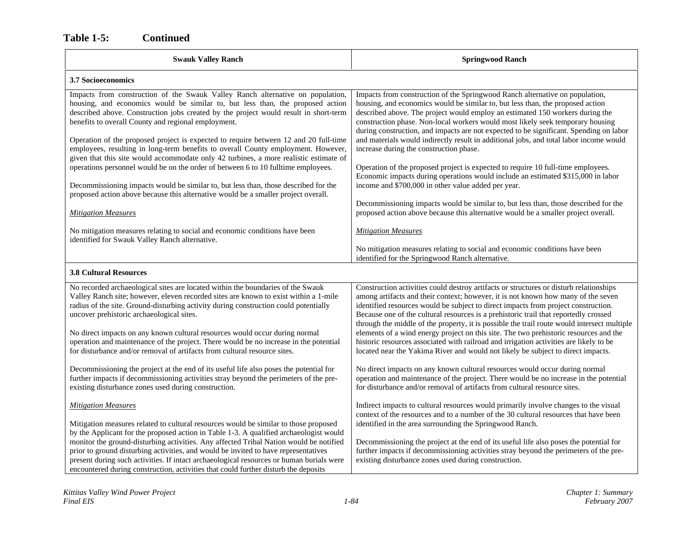| <b>Swauk Valley Ranch</b>                                                                                                                                                                                                                                                                                                                                                                                                                                                                                                                                                             | <b>Springwood Ranch</b>                                                                                                                                                                                                                                                                                                                                                                                                                                                                                                                                          |
|---------------------------------------------------------------------------------------------------------------------------------------------------------------------------------------------------------------------------------------------------------------------------------------------------------------------------------------------------------------------------------------------------------------------------------------------------------------------------------------------------------------------------------------------------------------------------------------|------------------------------------------------------------------------------------------------------------------------------------------------------------------------------------------------------------------------------------------------------------------------------------------------------------------------------------------------------------------------------------------------------------------------------------------------------------------------------------------------------------------------------------------------------------------|
| 3.7 Socioeconomics                                                                                                                                                                                                                                                                                                                                                                                                                                                                                                                                                                    |                                                                                                                                                                                                                                                                                                                                                                                                                                                                                                                                                                  |
| Impacts from construction of the Swauk Valley Ranch alternative on population,<br>housing, and economics would be similar to, but less than, the proposed action<br>described above. Construction jobs created by the project would result in short-term<br>benefits to overall County and regional employment.<br>Operation of the proposed project is expected to require between 12 and 20 full-time<br>employees, resulting in long-term benefits to overall County employment. However,<br>given that this site would accommodate only 42 turbines, a more realistic estimate of | Impacts from construction of the Springwood Ranch alternative on population,<br>housing, and economics would be similar to, but less than, the proposed action<br>described above. The project would employ an estimated 150 workers during the<br>construction phase. Non-local workers would most likely seek temporary housing<br>during construction, and impacts are not expected to be significant. Spending on labor<br>and materials would indirectly result in additional jobs, and total labor income would<br>increase during the construction phase. |
| operations personnel would be on the order of between 6 to 10 fulltime employees.<br>Decommissioning impacts would be similar to, but less than, those described for the<br>proposed action above because this alternative would be a smaller project overall.                                                                                                                                                                                                                                                                                                                        | Operation of the proposed project is expected to require 10 full-time employees.<br>Economic impacts during operations would include an estimated \$315,000 in labor<br>income and \$700,000 in other value added per year.                                                                                                                                                                                                                                                                                                                                      |
| <b>Mitigation Measures</b>                                                                                                                                                                                                                                                                                                                                                                                                                                                                                                                                                            | Decommissioning impacts would be similar to, but less than, those described for the<br>proposed action above because this alternative would be a smaller project overall.                                                                                                                                                                                                                                                                                                                                                                                        |
| No mitigation measures relating to social and economic conditions have been<br>identified for Swauk Valley Ranch alternative.                                                                                                                                                                                                                                                                                                                                                                                                                                                         | <b>Mitigation Measures</b>                                                                                                                                                                                                                                                                                                                                                                                                                                                                                                                                       |
|                                                                                                                                                                                                                                                                                                                                                                                                                                                                                                                                                                                       | No mitigation measures relating to social and economic conditions have been<br>identified for the Springwood Ranch alternative.                                                                                                                                                                                                                                                                                                                                                                                                                                  |
| <b>3.8 Cultural Resources</b>                                                                                                                                                                                                                                                                                                                                                                                                                                                                                                                                                         |                                                                                                                                                                                                                                                                                                                                                                                                                                                                                                                                                                  |
| No recorded archaeological sites are located within the boundaries of the Swauk<br>Valley Ranch site; however, eleven recorded sites are known to exist within a 1-mile<br>radius of the site. Ground-disturbing activity during construction could potentially<br>uncover prehistoric archaeological sites.                                                                                                                                                                                                                                                                          | Construction activities could destroy artifacts or structures or disturb relationships<br>among artifacts and their context; however, it is not known how many of the seven<br>identified resources would be subject to direct impacts from project construction.<br>Because one of the cultural resources is a prehistoric trail that reportedly crossed<br>through the middle of the property, it is possible the trail route would intersect multiple                                                                                                         |
| No direct impacts on any known cultural resources would occur during normal<br>operation and maintenance of the project. There would be no increase in the potential<br>for disturbance and/or removal of artifacts from cultural resource sites.                                                                                                                                                                                                                                                                                                                                     | elements of a wind energy project on this site. The two prehistoric resources and the<br>historic resources associated with railroad and irrigation activities are likely to be<br>located near the Yakima River and would not likely be subject to direct impacts.                                                                                                                                                                                                                                                                                              |
| Decommissioning the project at the end of its useful life also poses the potential for<br>further impacts if decommissioning activities stray beyond the perimeters of the pre-<br>existing disturbance zones used during construction.                                                                                                                                                                                                                                                                                                                                               | No direct impacts on any known cultural resources would occur during normal<br>operation and maintenance of the project. There would be no increase in the potential<br>for disturbance and/or removal of artifacts from cultural resource sites.                                                                                                                                                                                                                                                                                                                |
| <b>Mitigation Measures</b><br>Mitigation measures related to cultural resources would be similar to those proposed                                                                                                                                                                                                                                                                                                                                                                                                                                                                    | Indirect impacts to cultural resources would primarily involve changes to the visual<br>context of the resources and to a number of the 30 cultural resources that have been<br>identified in the area surrounding the Springwood Ranch.                                                                                                                                                                                                                                                                                                                         |
| by the Applicant for the proposed action in Table 1-3. A qualified archaeologist would<br>monitor the ground-disturbing activities. Any affected Tribal Nation would be notified<br>prior to ground disturbing activities, and would be invited to have representatives<br>present during such activities. If intact archaeological resources or human burials were<br>encountered during construction, activities that could further disturb the deposits                                                                                                                            | Decommissioning the project at the end of its useful life also poses the potential for<br>further impacts if decommissioning activities stray beyond the perimeters of the pre-<br>existing disturbance zones used during construction.                                                                                                                                                                                                                                                                                                                          |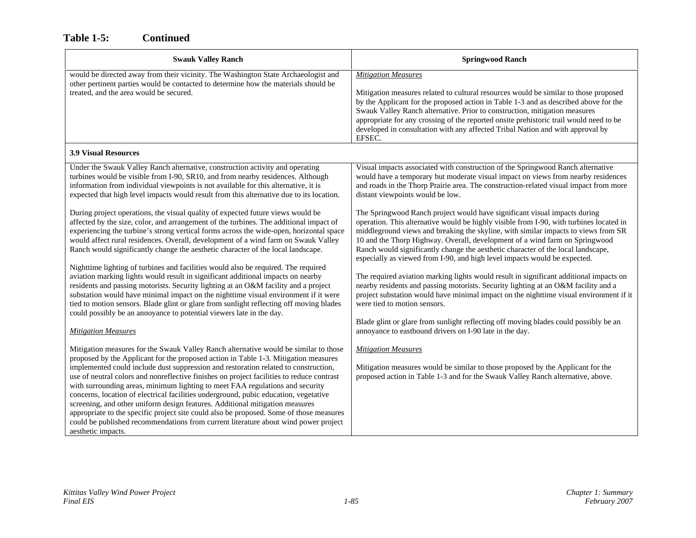| <b>Swauk Valley Ranch</b>                                                                                                                                                                                                                                                                                                                                                                                                                                                                                                                                                                                                                                                                                                                                                                                                                                                                                                                                                                                                                                                                                                                                                                                                                                                                                                                                                                                                                                                                                                                                                                                                                                                                                                                                                                                                                                                                                                                                                                  | <b>Springwood Ranch</b>                                                                                                                                                                                                                                                                                                                                                                                                                                                                                                                                                                                                                                                                                                                                                                                                                                                                                                                                                                                                                                                                                                                                                                                                                                                                                                                                                                                                                                                          |
|--------------------------------------------------------------------------------------------------------------------------------------------------------------------------------------------------------------------------------------------------------------------------------------------------------------------------------------------------------------------------------------------------------------------------------------------------------------------------------------------------------------------------------------------------------------------------------------------------------------------------------------------------------------------------------------------------------------------------------------------------------------------------------------------------------------------------------------------------------------------------------------------------------------------------------------------------------------------------------------------------------------------------------------------------------------------------------------------------------------------------------------------------------------------------------------------------------------------------------------------------------------------------------------------------------------------------------------------------------------------------------------------------------------------------------------------------------------------------------------------------------------------------------------------------------------------------------------------------------------------------------------------------------------------------------------------------------------------------------------------------------------------------------------------------------------------------------------------------------------------------------------------------------------------------------------------------------------------------------------------|----------------------------------------------------------------------------------------------------------------------------------------------------------------------------------------------------------------------------------------------------------------------------------------------------------------------------------------------------------------------------------------------------------------------------------------------------------------------------------------------------------------------------------------------------------------------------------------------------------------------------------------------------------------------------------------------------------------------------------------------------------------------------------------------------------------------------------------------------------------------------------------------------------------------------------------------------------------------------------------------------------------------------------------------------------------------------------------------------------------------------------------------------------------------------------------------------------------------------------------------------------------------------------------------------------------------------------------------------------------------------------------------------------------------------------------------------------------------------------|
| would be directed away from their vicinity. The Washington State Archaeologist and<br>other pertinent parties would be contacted to determine how the materials should be<br>treated, and the area would be secured.                                                                                                                                                                                                                                                                                                                                                                                                                                                                                                                                                                                                                                                                                                                                                                                                                                                                                                                                                                                                                                                                                                                                                                                                                                                                                                                                                                                                                                                                                                                                                                                                                                                                                                                                                                       | <b>Mitigation Measures</b><br>Mitigation measures related to cultural resources would be similar to those proposed<br>by the Applicant for the proposed action in Table 1-3 and as described above for the<br>Swauk Valley Ranch alternative. Prior to construction, mitigation measures<br>appropriate for any crossing of the reported onsite prehistoric trail would need to be<br>developed in consultation with any affected Tribal Nation and with approval by<br>EFSEC.                                                                                                                                                                                                                                                                                                                                                                                                                                                                                                                                                                                                                                                                                                                                                                                                                                                                                                                                                                                                   |
| <b>3.9 Visual Resources</b>                                                                                                                                                                                                                                                                                                                                                                                                                                                                                                                                                                                                                                                                                                                                                                                                                                                                                                                                                                                                                                                                                                                                                                                                                                                                                                                                                                                                                                                                                                                                                                                                                                                                                                                                                                                                                                                                                                                                                                |                                                                                                                                                                                                                                                                                                                                                                                                                                                                                                                                                                                                                                                                                                                                                                                                                                                                                                                                                                                                                                                                                                                                                                                                                                                                                                                                                                                                                                                                                  |
| Under the Swauk Valley Ranch alternative, construction activity and operating<br>turbines would be visible from I-90, SR10, and from nearby residences. Although<br>information from individual viewpoints is not available for this alternative, it is<br>expected that high level impacts would result from this alternative due to its location.<br>During project operations, the visual quality of expected future views would be<br>affected by the size, color, and arrangement of the turbines. The additional impact of<br>experiencing the turbine's strong vertical forms across the wide-open, horizontal space<br>would affect rural residences. Overall, development of a wind farm on Swauk Valley<br>Ranch would significantly change the aesthetic character of the local landscape.<br>Nighttime lighting of turbines and facilities would also be required. The required<br>aviation marking lights would result in significant additional impacts on nearby<br>residents and passing motorists. Security lighting at an O&M facility and a project<br>substation would have minimal impact on the nighttime visual environment if it were<br>tied to motion sensors. Blade glint or glare from sunlight reflecting off moving blades<br>could possibly be an annoyance to potential viewers late in the day.<br><b>Mitigation Measures</b><br>Mitigation measures for the Swauk Valley Ranch alternative would be similar to those<br>proposed by the Applicant for the proposed action in Table 1-3. Mitigation measures<br>implemented could include dust suppression and restoration related to construction,<br>use of neutral colors and nonreflective finishes on project facilities to reduce contrast<br>with surrounding areas, minimum lighting to meet FAA regulations and security<br>concerns, location of electrical facilities underground, pubic education, vegetative<br>screening, and other uniform design features. Additional mitigation measures | Visual impacts associated with construction of the Springwood Ranch alternative<br>would have a temporary but moderate visual impact on views from nearby residences<br>and roads in the Thorp Prairie area. The construction-related visual impact from more<br>distant viewpoints would be low.<br>The Springwood Ranch project would have significant visual impacts during<br>operation. This alternative would be highly visible from I-90, with turbines located in<br>middleground views and breaking the skyline, with similar impacts to views from SR<br>10 and the Thorp Highway. Overall, development of a wind farm on Springwood<br>Ranch would significantly change the aesthetic character of the local landscape,<br>especially as viewed from I-90, and high level impacts would be expected.<br>The required aviation marking lights would result in significant additional impacts on<br>nearby residents and passing motorists. Security lighting at an O&M facility and a<br>project substation would have minimal impact on the nighttime visual environment if it<br>were tied to motion sensors.<br>Blade glint or glare from sunlight reflecting off moving blades could possibly be an<br>annoyance to eastbound drivers on I-90 late in the day.<br><b>Mitigation Measures</b><br>Mitigation measures would be similar to those proposed by the Applicant for the<br>proposed action in Table 1-3 and for the Swauk Valley Ranch alternative, above. |
| appropriate to the specific project site could also be proposed. Some of those measures<br>could be published recommendations from current literature about wind power project<br>aesthetic impacts.                                                                                                                                                                                                                                                                                                                                                                                                                                                                                                                                                                                                                                                                                                                                                                                                                                                                                                                                                                                                                                                                                                                                                                                                                                                                                                                                                                                                                                                                                                                                                                                                                                                                                                                                                                                       |                                                                                                                                                                                                                                                                                                                                                                                                                                                                                                                                                                                                                                                                                                                                                                                                                                                                                                                                                                                                                                                                                                                                                                                                                                                                                                                                                                                                                                                                                  |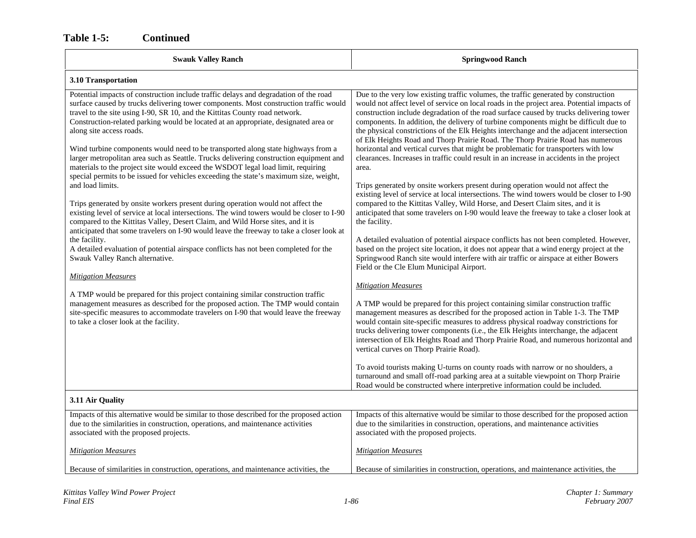| <b>Swauk Valley Ranch</b>                                                                                                                                                                                                                                                                                                                                                                                                                                                                                                                                                                                                                                                                                                                                                                                                                                                                                                                                                                                                                                                                                                                                                                                                                                                                                                                                                                                                                                                                                                                                                                                       | <b>Springwood Ranch</b>                                                                                                                                                                                                                                                                                                                                                                                                                                                                                                                                                                                                                                                                                                                                                                                                                                                                                                                                                                                                                                                                                                                                                                                                                                                                                                                                                                                                                                                                                                                                                                                                                                                                                                                                                                                                                                                                                                                                                                                                                                                                                                                                                                                                            |  |
|-----------------------------------------------------------------------------------------------------------------------------------------------------------------------------------------------------------------------------------------------------------------------------------------------------------------------------------------------------------------------------------------------------------------------------------------------------------------------------------------------------------------------------------------------------------------------------------------------------------------------------------------------------------------------------------------------------------------------------------------------------------------------------------------------------------------------------------------------------------------------------------------------------------------------------------------------------------------------------------------------------------------------------------------------------------------------------------------------------------------------------------------------------------------------------------------------------------------------------------------------------------------------------------------------------------------------------------------------------------------------------------------------------------------------------------------------------------------------------------------------------------------------------------------------------------------------------------------------------------------|------------------------------------------------------------------------------------------------------------------------------------------------------------------------------------------------------------------------------------------------------------------------------------------------------------------------------------------------------------------------------------------------------------------------------------------------------------------------------------------------------------------------------------------------------------------------------------------------------------------------------------------------------------------------------------------------------------------------------------------------------------------------------------------------------------------------------------------------------------------------------------------------------------------------------------------------------------------------------------------------------------------------------------------------------------------------------------------------------------------------------------------------------------------------------------------------------------------------------------------------------------------------------------------------------------------------------------------------------------------------------------------------------------------------------------------------------------------------------------------------------------------------------------------------------------------------------------------------------------------------------------------------------------------------------------------------------------------------------------------------------------------------------------------------------------------------------------------------------------------------------------------------------------------------------------------------------------------------------------------------------------------------------------------------------------------------------------------------------------------------------------------------------------------------------------------------------------------------------------|--|
| 3.10 Transportation                                                                                                                                                                                                                                                                                                                                                                                                                                                                                                                                                                                                                                                                                                                                                                                                                                                                                                                                                                                                                                                                                                                                                                                                                                                                                                                                                                                                                                                                                                                                                                                             |                                                                                                                                                                                                                                                                                                                                                                                                                                                                                                                                                                                                                                                                                                                                                                                                                                                                                                                                                                                                                                                                                                                                                                                                                                                                                                                                                                                                                                                                                                                                                                                                                                                                                                                                                                                                                                                                                                                                                                                                                                                                                                                                                                                                                                    |  |
| Potential impacts of construction include traffic delays and degradation of the road<br>surface caused by trucks delivering tower components. Most construction traffic would<br>travel to the site using I-90, SR 10, and the Kittitas County road network.<br>Construction-related parking would be located at an appropriate, designated area or<br>along site access roads.<br>Wind turbine components would need to be transported along state highways from a<br>larger metropolitan area such as Seattle. Trucks delivering construction equipment and<br>materials to the project site would exceed the WSDOT legal load limit, requiring<br>special permits to be issued for vehicles exceeding the state's maximum size, weight,<br>and load limits.<br>Trips generated by onsite workers present during operation would not affect the<br>existing level of service at local intersections. The wind towers would be closer to I-90<br>compared to the Kittitas Valley, Desert Claim, and Wild Horse sites, and it is<br>anticipated that some travelers on I-90 would leave the freeway to take a closer look at<br>the facility.<br>A detailed evaluation of potential airspace conflicts has not been completed for the<br>Swauk Valley Ranch alternative.<br><b>Mitigation Measures</b><br>A TMP would be prepared for this project containing similar construction traffic<br>management measures as described for the proposed action. The TMP would contain<br>site-specific measures to accommodate travelers on I-90 that would leave the freeway<br>to take a closer look at the facility. | Due to the very low existing traffic volumes, the traffic generated by construction<br>would not affect level of service on local roads in the project area. Potential impacts of<br>construction include degradation of the road surface caused by trucks delivering tower<br>components. In addition, the delivery of turbine components might be difficult due to<br>the physical constrictions of the Elk Heights interchange and the adjacent intersection<br>of Elk Heights Road and Thorp Prairie Road. The Thorp Prairie Road has numerous<br>horizontal and vertical curves that might be problematic for transporters with low<br>clearances. Increases in traffic could result in an increase in accidents in the project<br>area.<br>Trips generated by onsite workers present during operation would not affect the<br>existing level of service at local intersections. The wind towers would be closer to I-90<br>compared to the Kittitas Valley, Wild Horse, and Desert Claim sites, and it is<br>anticipated that some travelers on I-90 would leave the freeway to take a closer look at<br>the facility.<br>A detailed evaluation of potential airspace conflicts has not been completed. However,<br>based on the project site location, it does not appear that a wind energy project at the<br>Springwood Ranch site would interfere with air traffic or airspace at either Bowers<br>Field or the Cle Elum Municipal Airport.<br><b>Mitigation Measures</b><br>A TMP would be prepared for this project containing similar construction traffic<br>management measures as described for the proposed action in Table 1-3. The TMP<br>would contain site-specific measures to address physical roadway constrictions for<br>trucks delivering tower components (i.e., the Elk Heights interchange, the adjacent<br>intersection of Elk Heights Road and Thorp Prairie Road, and numerous horizontal and<br>vertical curves on Thorp Prairie Road).<br>To avoid tourists making U-turns on county roads with narrow or no shoulders, a<br>turnaround and small off-road parking area at a suitable viewpoint on Thorp Prairie<br>Road would be constructed where interpretive information could be included. |  |
| 3.11 Air Quality                                                                                                                                                                                                                                                                                                                                                                                                                                                                                                                                                                                                                                                                                                                                                                                                                                                                                                                                                                                                                                                                                                                                                                                                                                                                                                                                                                                                                                                                                                                                                                                                |                                                                                                                                                                                                                                                                                                                                                                                                                                                                                                                                                                                                                                                                                                                                                                                                                                                                                                                                                                                                                                                                                                                                                                                                                                                                                                                                                                                                                                                                                                                                                                                                                                                                                                                                                                                                                                                                                                                                                                                                                                                                                                                                                                                                                                    |  |
| Impacts of this alternative would be similar to those described for the proposed action<br>due to the similarities in construction, operations, and maintenance activities<br>associated with the proposed projects.                                                                                                                                                                                                                                                                                                                                                                                                                                                                                                                                                                                                                                                                                                                                                                                                                                                                                                                                                                                                                                                                                                                                                                                                                                                                                                                                                                                            | Impacts of this alternative would be similar to those described for the proposed action<br>due to the similarities in construction, operations, and maintenance activities<br>associated with the proposed projects.                                                                                                                                                                                                                                                                                                                                                                                                                                                                                                                                                                                                                                                                                                                                                                                                                                                                                                                                                                                                                                                                                                                                                                                                                                                                                                                                                                                                                                                                                                                                                                                                                                                                                                                                                                                                                                                                                                                                                                                                               |  |
| <b>Mitigation Measures</b>                                                                                                                                                                                                                                                                                                                                                                                                                                                                                                                                                                                                                                                                                                                                                                                                                                                                                                                                                                                                                                                                                                                                                                                                                                                                                                                                                                                                                                                                                                                                                                                      | <b>Mitigation Measures</b>                                                                                                                                                                                                                                                                                                                                                                                                                                                                                                                                                                                                                                                                                                                                                                                                                                                                                                                                                                                                                                                                                                                                                                                                                                                                                                                                                                                                                                                                                                                                                                                                                                                                                                                                                                                                                                                                                                                                                                                                                                                                                                                                                                                                         |  |
| Because of similarities in construction, operations, and maintenance activities, the                                                                                                                                                                                                                                                                                                                                                                                                                                                                                                                                                                                                                                                                                                                                                                                                                                                                                                                                                                                                                                                                                                                                                                                                                                                                                                                                                                                                                                                                                                                            | Because of similarities in construction, operations, and maintenance activities, the                                                                                                                                                                                                                                                                                                                                                                                                                                                                                                                                                                                                                                                                                                                                                                                                                                                                                                                                                                                                                                                                                                                                                                                                                                                                                                                                                                                                                                                                                                                                                                                                                                                                                                                                                                                                                                                                                                                                                                                                                                                                                                                                               |  |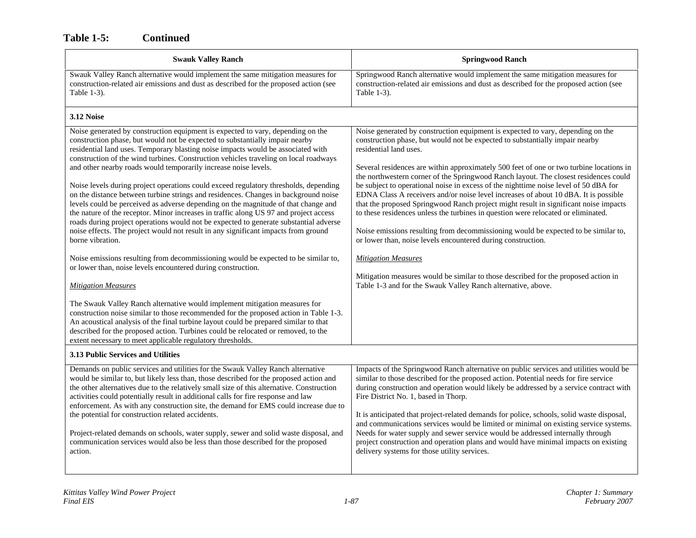| <b>Swauk Valley Ranch</b>                                                                                                                                                                                                                                                                                                                                                                                                                                                                                                                                                                                                                                                                                                                                                                                                                                                                                                                                                                                                                                                                                                                                                                                                                                                                                                                                                                                                                                                                                               | <b>Springwood Ranch</b>                                                                                                                                                                                                                                                                                                                                                                                                                                                                                                                                                                                                                                                                                                                                                                                                                                                                                                                                                                                                                                                            |
|-------------------------------------------------------------------------------------------------------------------------------------------------------------------------------------------------------------------------------------------------------------------------------------------------------------------------------------------------------------------------------------------------------------------------------------------------------------------------------------------------------------------------------------------------------------------------------------------------------------------------------------------------------------------------------------------------------------------------------------------------------------------------------------------------------------------------------------------------------------------------------------------------------------------------------------------------------------------------------------------------------------------------------------------------------------------------------------------------------------------------------------------------------------------------------------------------------------------------------------------------------------------------------------------------------------------------------------------------------------------------------------------------------------------------------------------------------------------------------------------------------------------------|------------------------------------------------------------------------------------------------------------------------------------------------------------------------------------------------------------------------------------------------------------------------------------------------------------------------------------------------------------------------------------------------------------------------------------------------------------------------------------------------------------------------------------------------------------------------------------------------------------------------------------------------------------------------------------------------------------------------------------------------------------------------------------------------------------------------------------------------------------------------------------------------------------------------------------------------------------------------------------------------------------------------------------------------------------------------------------|
| Swauk Valley Ranch alternative would implement the same mitigation measures for<br>construction-related air emissions and dust as described for the proposed action (see<br>Table 1-3).                                                                                                                                                                                                                                                                                                                                                                                                                                                                                                                                                                                                                                                                                                                                                                                                                                                                                                                                                                                                                                                                                                                                                                                                                                                                                                                                 | Springwood Ranch alternative would implement the same mitigation measures for<br>construction-related air emissions and dust as described for the proposed action (see<br>Table 1-3).                                                                                                                                                                                                                                                                                                                                                                                                                                                                                                                                                                                                                                                                                                                                                                                                                                                                                              |
| 3.12 Noise                                                                                                                                                                                                                                                                                                                                                                                                                                                                                                                                                                                                                                                                                                                                                                                                                                                                                                                                                                                                                                                                                                                                                                                                                                                                                                                                                                                                                                                                                                              |                                                                                                                                                                                                                                                                                                                                                                                                                                                                                                                                                                                                                                                                                                                                                                                                                                                                                                                                                                                                                                                                                    |
| Noise generated by construction equipment is expected to vary, depending on the<br>construction phase, but would not be expected to substantially impair nearby<br>residential land uses. Temporary blasting noise impacts would be associated with<br>construction of the wind turbines. Construction vehicles traveling on local roadways<br>and other nearby roads would temporarily increase noise levels.<br>Noise levels during project operations could exceed regulatory thresholds, depending<br>on the distance between turbine strings and residences. Changes in background noise<br>levels could be perceived as adverse depending on the magnitude of that change and<br>the nature of the receptor. Minor increases in traffic along US 97 and project access<br>roads during project operations would not be expected to generate substantial adverse<br>noise effects. The project would not result in any significant impacts from ground<br>borne vibration.<br>Noise emissions resulting from decommissioning would be expected to be similar to,<br>or lower than, noise levels encountered during construction.<br><b>Mitigation Measures</b><br>The Swauk Valley Ranch alternative would implement mitigation measures for<br>construction noise similar to those recommended for the proposed action in Table 1-3.<br>An acoustical analysis of the final turbine layout could be prepared similar to that<br>described for the proposed action. Turbines could be relocated or removed, to the | Noise generated by construction equipment is expected to vary, depending on the<br>construction phase, but would not be expected to substantially impair nearby<br>residential land uses.<br>Several residences are within approximately 500 feet of one or two turbine locations in<br>the northwestern corner of the Springwood Ranch layout. The closest residences could<br>be subject to operational noise in excess of the nighttime noise level of 50 dBA for<br>EDNA Class A receivers and/or noise level increases of about 10 dBA. It is possible<br>that the proposed Springwood Ranch project might result in significant noise impacts<br>to these residences unless the turbines in question were relocated or eliminated.<br>Noise emissions resulting from decommissioning would be expected to be similar to,<br>or lower than, noise levels encountered during construction.<br><b>Mitigation Measures</b><br>Mitigation measures would be similar to those described for the proposed action in<br>Table 1-3 and for the Swauk Valley Ranch alternative, above. |
| extent necessary to meet applicable regulatory thresholds.                                                                                                                                                                                                                                                                                                                                                                                                                                                                                                                                                                                                                                                                                                                                                                                                                                                                                                                                                                                                                                                                                                                                                                                                                                                                                                                                                                                                                                                              |                                                                                                                                                                                                                                                                                                                                                                                                                                                                                                                                                                                                                                                                                                                                                                                                                                                                                                                                                                                                                                                                                    |
| <b>3.13 Public Services and Utilities</b>                                                                                                                                                                                                                                                                                                                                                                                                                                                                                                                                                                                                                                                                                                                                                                                                                                                                                                                                                                                                                                                                                                                                                                                                                                                                                                                                                                                                                                                                               |                                                                                                                                                                                                                                                                                                                                                                                                                                                                                                                                                                                                                                                                                                                                                                                                                                                                                                                                                                                                                                                                                    |
| Demands on public services and utilities for the Swauk Valley Ranch alternative<br>would be similar to, but likely less than, those described for the proposed action and<br>the other alternatives due to the relatively small size of this alternative. Construction<br>activities could potentially result in additional calls for fire response and law<br>enforcement. As with any construction site, the demand for EMS could increase due to<br>the potential for construction related accidents.<br>Project-related demands on schools, water supply, sewer and solid waste disposal, and<br>communication services would also be less than those described for the proposed<br>action.                                                                                                                                                                                                                                                                                                                                                                                                                                                                                                                                                                                                                                                                                                                                                                                                                         | Impacts of the Springwood Ranch alternative on public services and utilities would be<br>similar to those described for the proposed action. Potential needs for fire service<br>during construction and operation would likely be addressed by a service contract with<br>Fire District No. 1, based in Thorp.<br>It is anticipated that project-related demands for police, schools, solid waste disposal,<br>and communications services would be limited or minimal on existing service systems.<br>Needs for water supply and sewer service would be addressed internally through<br>project construction and operation plans and would have minimal impacts on existing<br>delivery systems for those utility services.                                                                                                                                                                                                                                                                                                                                                      |